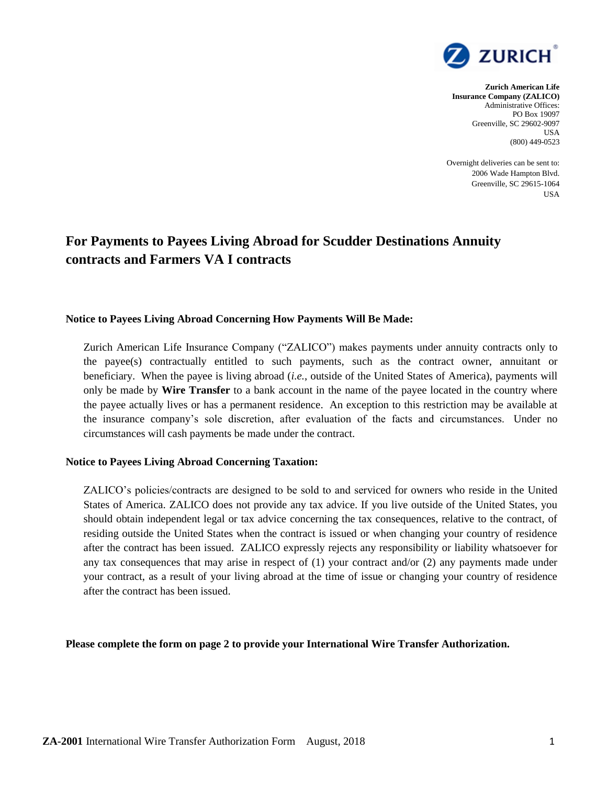

## **Zurich American Life Insurance Company (ZALICO)** Administrative Offices: PO Box 19097 Greenville, SC 29602-9097 USA (800) 449-0523

Overnight deliveries can be sent to: 2006 Wade Hampton Blvd. Greenville, SC 29615-1064 USA

## **For Payments to Payees Living Abroad for Scudder Destinations Annuity contracts and Farmers VA I contracts**

## **Notice to Payees Living Abroad Concerning How Payments Will Be Made:**

Zurich American Life Insurance Company ("ZALICO") makes payments under annuity contracts only to the payee(s) contractually entitled to such payments, such as the contract owner, annuitant or beneficiary. When the payee is living abroad (*i.e.*, outside of the United States of America), payments will only be made by **Wire Transfer** to a bank account in the name of the payee located in the country where the payee actually lives or has a permanent residence. An exception to this restriction may be available at the insurance company's sole discretion, after evaluation of the facts and circumstances. Under no circumstances will cash payments be made under the contract.

## **Notice to Payees Living Abroad Concerning Taxation:**

ZALICO's policies/contracts are designed to be sold to and serviced for owners who reside in the United States of America. ZALICO does not provide any tax advice. If you live outside of the United States, you should obtain independent legal or tax advice concerning the tax consequences, relative to the contract, of residing outside the United States when the contract is issued or when changing your country of residence after the contract has been issued. ZALICO expressly rejects any responsibility or liability whatsoever for any tax consequences that may arise in respect of (1) your contract and/or (2) any payments made under your contract, as a result of your living abroad at the time of issue or changing your country of residence after the contract has been issued.

**Please complete the form on page 2 to provide your International Wire Transfer Authorization.**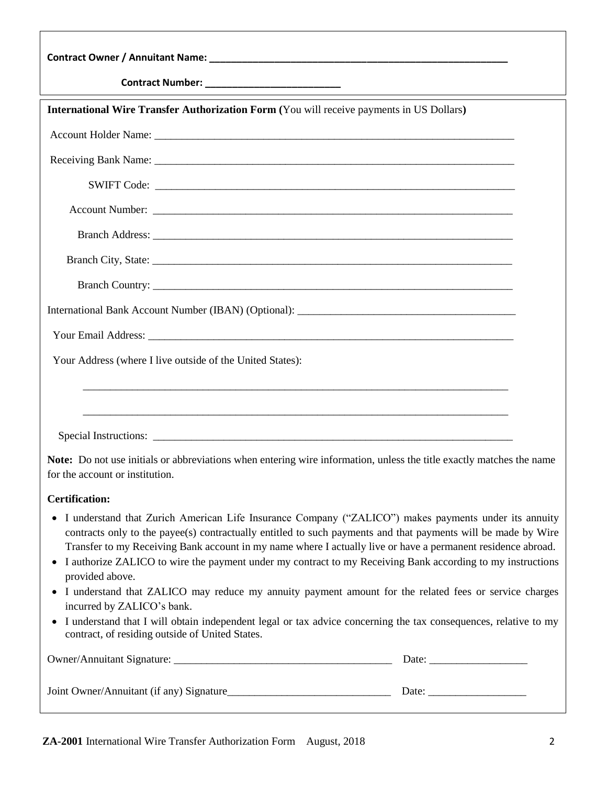| <b>International Wire Transfer Authorization Form (You will receive payments in US Dollars)</b>                                                                                                                                                                                                                                                                                                                                                                                                                                                                                                           |  |  |  |
|-----------------------------------------------------------------------------------------------------------------------------------------------------------------------------------------------------------------------------------------------------------------------------------------------------------------------------------------------------------------------------------------------------------------------------------------------------------------------------------------------------------------------------------------------------------------------------------------------------------|--|--|--|
|                                                                                                                                                                                                                                                                                                                                                                                                                                                                                                                                                                                                           |  |  |  |
|                                                                                                                                                                                                                                                                                                                                                                                                                                                                                                                                                                                                           |  |  |  |
|                                                                                                                                                                                                                                                                                                                                                                                                                                                                                                                                                                                                           |  |  |  |
|                                                                                                                                                                                                                                                                                                                                                                                                                                                                                                                                                                                                           |  |  |  |
|                                                                                                                                                                                                                                                                                                                                                                                                                                                                                                                                                                                                           |  |  |  |
|                                                                                                                                                                                                                                                                                                                                                                                                                                                                                                                                                                                                           |  |  |  |
|                                                                                                                                                                                                                                                                                                                                                                                                                                                                                                                                                                                                           |  |  |  |
|                                                                                                                                                                                                                                                                                                                                                                                                                                                                                                                                                                                                           |  |  |  |
|                                                                                                                                                                                                                                                                                                                                                                                                                                                                                                                                                                                                           |  |  |  |
| Your Address (where I live outside of the United States):                                                                                                                                                                                                                                                                                                                                                                                                                                                                                                                                                 |  |  |  |
| <u> 1989 - Johann Barn, mars ann an t-Amhainn an t-Amhainn an t-Amhainn an t-Amhainn an t-Amhainn an t-Amhainn an</u>                                                                                                                                                                                                                                                                                                                                                                                                                                                                                     |  |  |  |
| <u> 1989 - Johann Harry Harry Harry Harry Harry Harry Harry Harry Harry Harry Harry Harry Harry Harry Harry Harry</u>                                                                                                                                                                                                                                                                                                                                                                                                                                                                                     |  |  |  |
|                                                                                                                                                                                                                                                                                                                                                                                                                                                                                                                                                                                                           |  |  |  |
| Note: Do not use initials or abbreviations when entering wire information, unless the title exactly matches the name<br>for the account or institution.                                                                                                                                                                                                                                                                                                                                                                                                                                                   |  |  |  |
| <b>Certification:</b>                                                                                                                                                                                                                                                                                                                                                                                                                                                                                                                                                                                     |  |  |  |
| I understand that Zurich American Life Insurance Company ("ZALICO") makes payments under its annuity<br>$\bullet$<br>contracts only to the payee(s) contractually entitled to such payments and that payments will be made by Wire<br>Transfer to my Receiving Bank account in my name where I actually live or have a permanent residence abroad.<br>I authorize ZALICO to wire the payment under my contract to my Receiving Bank according to my instructions<br>$\bullet$<br>provided above.<br>I understand that ZALICO may reduce my annuity payment amount for the related fees or service charges |  |  |  |
| incurred by ZALICO's bank.<br>I understand that I will obtain independent legal or tax advice concerning the tax consequences, relative to my<br>$\bullet$<br>contract, of residing outside of United States.                                                                                                                                                                                                                                                                                                                                                                                             |  |  |  |
|                                                                                                                                                                                                                                                                                                                                                                                                                                                                                                                                                                                                           |  |  |  |
|                                                                                                                                                                                                                                                                                                                                                                                                                                                                                                                                                                                                           |  |  |  |